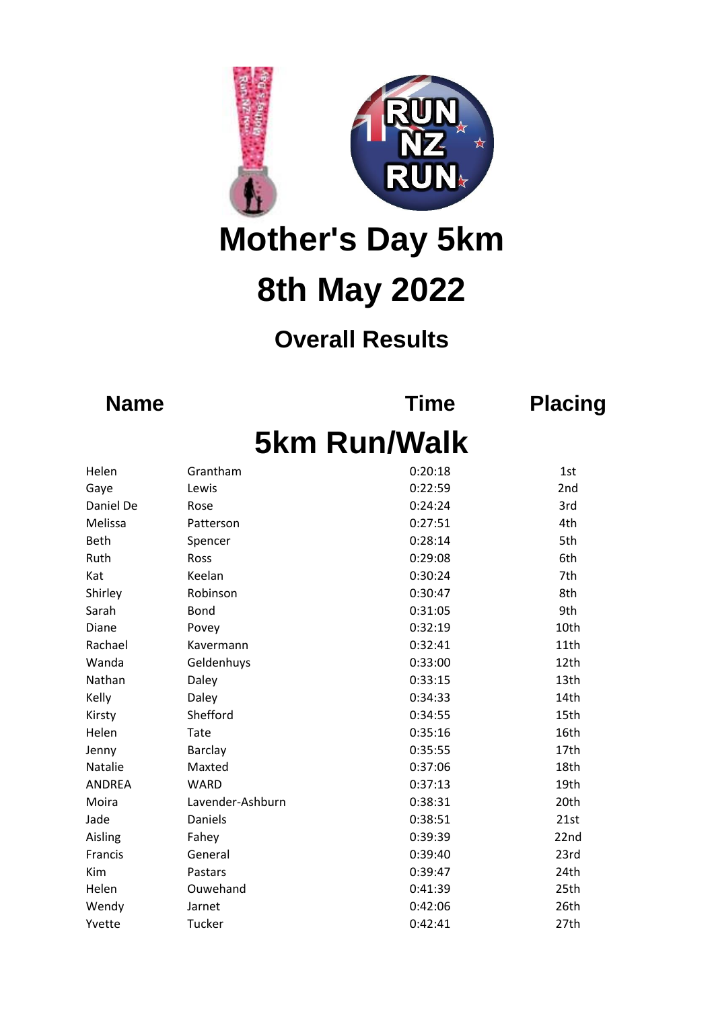

**Mother's Day 5km 8th May 2022**

## **Overall Results**

**Name Time Placing**

## **5km Run/Walk**

| Helen         | Grantham         | 0:20:18 | 1st  |
|---------------|------------------|---------|------|
| Gaye          | Lewis            | 0:22:59 | 2nd  |
| Daniel De     | Rose             | 0:24:24 | 3rd  |
| Melissa       | Patterson        | 0:27:51 | 4th  |
| Beth          | Spencer          | 0:28:14 | 5th  |
| Ruth          | Ross             | 0:29:08 | 6th  |
| Kat           | Keelan           | 0:30:24 | 7th  |
| Shirley       | Robinson         | 0:30:47 | 8th  |
| Sarah         | <b>Bond</b>      | 0:31:05 | 9th  |
| Diane         | Povey            | 0:32:19 | 10th |
| Rachael       | Kavermann        | 0:32:41 | 11th |
| Wanda         | Geldenhuys       | 0:33:00 | 12th |
| Nathan        | Daley            | 0:33:15 | 13th |
| Kelly         | Daley            | 0:34:33 | 14th |
| Kirsty        | Shefford         | 0:34:55 | 15th |
| Helen         | Tate             | 0:35:16 | 16th |
| Jenny         | <b>Barclay</b>   | 0:35:55 | 17th |
| Natalie       | Maxted           | 0:37:06 | 18th |
| <b>ANDREA</b> | <b>WARD</b>      | 0:37:13 | 19th |
| Moira         | Lavender-Ashburn | 0:38:31 | 20th |
| Jade          | Daniels          | 0:38:51 | 21st |
| Aisling       | Fahey            | 0:39:39 | 22nd |
| Francis       | General          | 0:39:40 | 23rd |
| Kim           | Pastars          | 0:39:47 | 24th |
| Helen         | Ouwehand         | 0:41:39 | 25th |
| Wendy         | Jarnet           | 0:42:06 | 26th |
| Yvette        | Tucker           | 0:42:41 | 27th |
|               |                  |         |      |